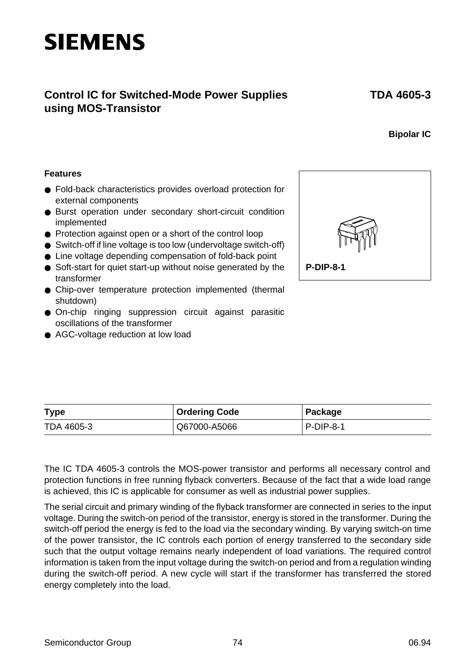# **Control IC for Switched-Mode Power Supplies using MOS-Transistor**

### **Bipolar IC**

#### **Features**

- Fold-back characteristics provides overload protection for external components
- Burst operation under secondary short-circuit condition implemented
- Protection against open or a short of the control loop
- Switch-off if line voltage is too low (undervoltage switch-off)
- Line voltage depending compensation of fold-back point
- Soft-start for quiet start-up without noise generated by the transformer
- Chip-over temperature protection implemented (thermal shutdown)
- On-chip ringing suppression circuit against parasitic oscillations of the transformer
- AGC-voltage reduction at low load



| <b>Type</b> | <b>Ordering Code</b> | Package   |
|-------------|----------------------|-----------|
| TDA 4605-3  | Q67000-A5066         | P-DIP-8-1 |

The IC TDA 4605-3 controls the MOS-power transistor and performs all necessary control and protection functions in free running flyback converters. Because of the fact that a wide load range is achieved, this IC is applicable for consumer as well as industrial power supplies.

The serial circuit and primary winding of the flyback transformer are connected in series to the input voltage. During the switch-on period of the transistor, energy is stored in the transformer. During the switch-off period the energy is fed to the load via the secondary winding. By varying switch-on time of the power transistor, the IC controls each portion of energy transferred to the secondary side such that the output voltage remains nearly independent of load variations. The required control information is taken from the input voltage during the switch-on period and from a regulation winding during the switch-off period. A new cycle will start if the transformer has transferred the stored energy completely into the load.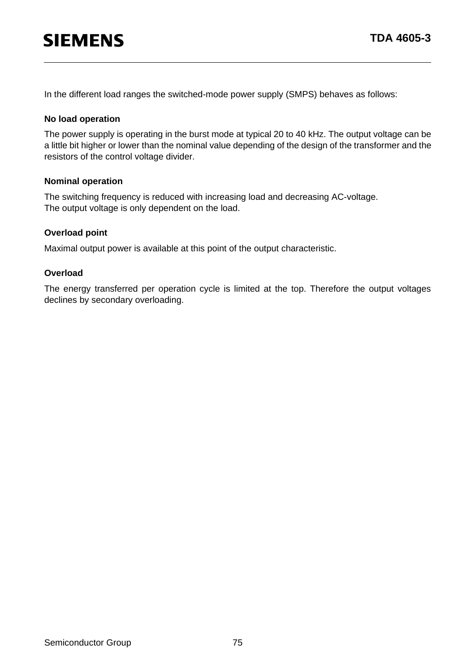In the different load ranges the switched-mode power supply (SMPS) behaves as follows:

#### **No load operation**

The power supply is operating in the burst mode at typical 20 to 40 kHz. The output voltage can be a little bit higher or lower than the nominal value depending of the design of the transformer and the resistors of the control voltage divider.

#### **Nominal operation**

The switching frequency is reduced with increasing load and decreasing AC-voltage. The output voltage is only dependent on the load.

#### **Overload point**

Maximal output power is available at this point of the output characteristic.

#### **Overload**

The energy transferred per operation cycle is limited at the top. Therefore the output voltages declines by secondary overloading.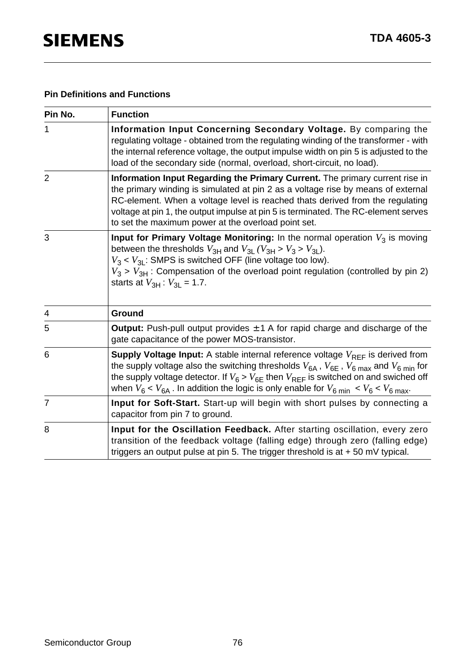### **Pin Definitions and Functions**

| Pin No.        | <b>Function</b>                                                                                                                                                                                                                                                                                                                                                                                                      |
|----------------|----------------------------------------------------------------------------------------------------------------------------------------------------------------------------------------------------------------------------------------------------------------------------------------------------------------------------------------------------------------------------------------------------------------------|
| 1              | Information Input Concerning Secondary Voltage. By comparing the<br>regulating voltage - obtained trom the regulating winding of the transformer - with<br>the internal reference voltage, the output impulse width on pin 5 is adjusted to the<br>load of the secondary side (normal, overload, short-circuit, no load).                                                                                            |
| $\overline{2}$ | Information Input Regarding the Primary Current. The primary current rise in<br>the primary winding is simulated at pin 2 as a voltage rise by means of external<br>RC-element. When a voltage level is reached thats derived from the regulating<br>voltage at pin 1, the output impulse at pin 5 is terminated. The RC-element serves<br>to set the maximum power at the overload point set.                       |
| 3              | Input for Primary Voltage Monitoring: In the normal operation $V_3$ is moving<br>between the thresholds $V_{3H}$ and $V_{3L}$ ( $V_{3H}$ > $V_3$ > $V_{3L}$ ).<br>$V_3 < V_{3L}$ : SMPS is switched OFF (line voltage too low).<br>$V_3$ > $V_{3H}$ : Compensation of the overload point regulation (controlled by pin 2)<br>starts at $V_{3H}$ : $V_{3L}$ = 1.7.                                                    |
| 4              | Ground                                                                                                                                                                                                                                                                                                                                                                                                               |
| 5              | <b>Output:</b> Push-pull output provides $\pm$ 1 A for rapid charge and discharge of the<br>gate capacitance of the power MOS-transistor.                                                                                                                                                                                                                                                                            |
| 6              | <b>Supply Voltage Input:</b> A stable internal reference voltage $V_{RFF}$ is derived from<br>the supply voltage also the switching thresholds $V_{6A}$ , $V_{6E}$ , $V_{6\text{ max}}$ and $V_{6\text{ min}}$ for<br>the supply voltage detector. If $V_6 > V_{6E}$ then $V_{REF}$ is switched on and swiched off<br>when $V_6 < V_{6A}$ . In addition the logic is only enable for $V_{6,min} < V_6 < V_{6,max}$ . |
| 7              | Input for Soft-Start. Start-up will begin with short pulses by connecting a<br>capacitor from pin 7 to ground.                                                                                                                                                                                                                                                                                                       |
| 8              | Input for the Oscillation Feedback. After starting oscillation, every zero<br>transition of the feedback voltage (falling edge) through zero (falling edge)<br>triggers an output pulse at pin 5. The trigger threshold is at $+50$ mV typical.                                                                                                                                                                      |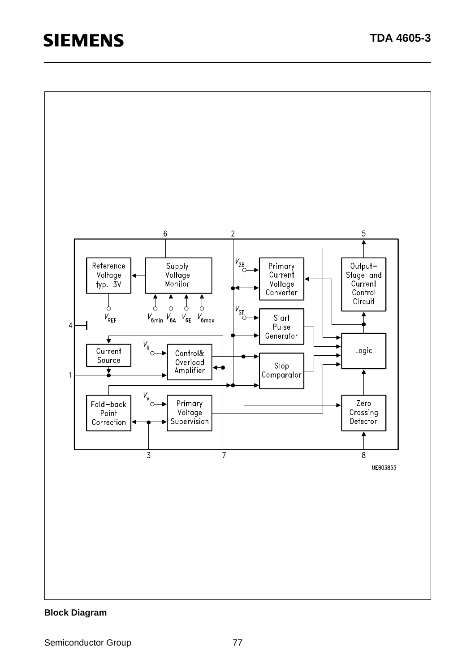

#### **Block Diagram**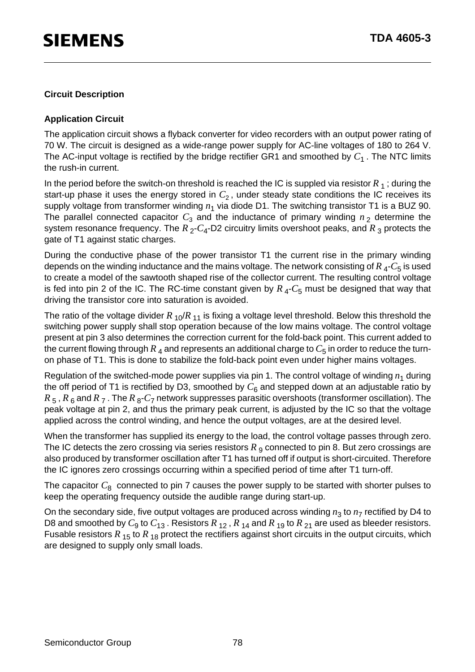#### **Circuit Description**

#### **Application Circuit**

The application circuit shows a flyback converter for video recorders with an output power rating of 70 W. The circuit is designed as a wide-range power supply for AC-line voltages of 180 to 264 V. The AC-input voltage is rectified by the bridge rectifier GR1 and smoothed by  $C_1$ . The NTC limits the rush-in current.

In the period before the switch-on threshold is reached the IC is suppled via resistor  $R_1$ ; during the start-up phase it uses the energy stored in  $C_2$ , under steady state conditions the IC receives its supply voltage from transformer winding  $n_1$  via diode D1. The switching transistor T1 is a BUZ 90. The parallel connected capacitor  $C_3$  and the inductance of primary winding  $n_2$  determine the system resonance frequency. The  $R_2$ - $C_4$ -D2 circuitry limits overshoot peaks, and  $R_3$  protects the gate of T1 against static charges.

During the conductive phase of the power transistor T1 the current rise in the primary winding depends on the winding inductance and the mains voltage. The network consisting of  $R_{4}$ - $C_{5}$  is used to create a model of the sawtooth shaped rise of the collector current. The resulting control voltage is fed into pin 2 of the IC. The RC-time constant given by  $R<sub>4</sub>-C<sub>5</sub>$  must be designed that way that driving the transistor core into saturation is avoided.

The ratio of the voltage divider  $R_{10}/R_{11}$  is fixing a voltage level threshold. Below this threshold the switching power supply shall stop operation because of the low mains voltage. The control voltage present at pin 3 also determines the correction current for the fold-back point. This current added to the current flowing through  $R_4$  and represents an additional charge to  $C_5$  in order to reduce the turnon phase of T1. This is done to stabilize the fold-back point even under higher mains voltages.

Regulation of the switched-mode power supplies via pin 1. The control voltage of winding  $n_1$  during the off period of T1 is rectified by D3, smoothed by  $C_6$  and stepped down at an adjustable ratio by  $R_5$ ,  $R_6$  and  $R_7$ . The  $R_8$ - $C_7$  network suppresses parasitic overshoots (transformer oscillation). The peak voltage at pin 2, and thus the primary peak current, is adjusted by the IC so that the voltage applied across the control winding, and hence the output voltages, are at the desired level.

When the transformer has supplied its energy to the load, the control voltage passes through zero. The IC detects the zero crossing via series resistors  $R_{\rm g}$  connected to pin 8. But zero crossings are also produced by transformer oscillation after T1 has turned off if output is short-circuited. Therefore the IC ignores zero crossings occurring within a specified period of time after T1 turn-off.

The capacitor  $C_8$  connected to pin 7 causes the power supply to be started with shorter pulses to keep the operating frequency outside the audible range during start-up.

On the secondary side, five output voltages are produced across winding  $n_3$  to  $n_7$  rectified by D4 to D8 and smoothed by  $C_9$  to  $C_{13}$ . Resistors  $R_{12}$ ,  $R_{14}$  and  $R_{19}$  to  $R_{21}$  are used as bleeder resistors. Fusable resistors  $R_{15}$  to  $R_{18}$  protect the rectifiers against short circuits in the output circuits, which are designed to supply only small loads.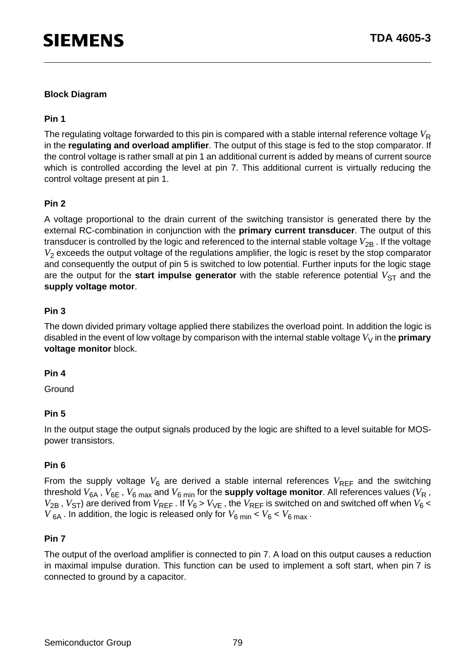#### **Block Diagram**

#### **Pin 1**

The regulating voltage forwarded to this pin is compared with a stable internal reference voltage  $V_{\rm R}$ in the **regulating and overload amplifier**. The output of this stage is fed to the stop comparator. If the control voltage is rather small at pin 1 an additional current is added by means of current source which is controlled according the level at pin 7. This additional current is virtually reducing the control voltage present at pin 1.

#### **Pin 2**

A voltage proportional to the drain current of the switching transistor is generated there by the external RC-combination in conjunction with the **primary current transducer**. The output of this transducer is controlled by the logic and referenced to the internal stable voltage  $V_{2B}$ . If the voltage *V*<sub>2</sub> exceeds the output voltage of the regulations amplifier, the logic is reset by the stop comparator and consequently the output of pin 5 is switched to low potential. Further inputs for the logic stage are the output for the **start impulse generator** with the stable reference potential  $V_{ST}$  and the **supply voltage motor**.

#### **Pin 3**

The down divided primary voltage applied there stabilizes the overload point. In addition the logic is disabled in the event of low voltage by comparison with the internal stable voltage  $V_V$  in the **primary voltage monitor** block.

#### **Pin 4**

**Ground** 

#### **Pin 5**

In the output stage the output signals produced by the logic are shifted to a level suitable for MOSpower transistors.

#### **Pin 6**

From the supply voltage  $V_6$  are derived a stable internal references  $V_{REF}$  and the switching threshold  $V_{6A}$  ,  $V_{6E}$  ,  $V_{6 max}$  and  $V_{6 min}$  for the **supply voltage monitor**. All references values ( $V_{R}$ ,  $V_{2B}$ ,  $V_{ST}$ ) are derived from  $V_{REF}$ . If  $V_6$  >  $V_{VE}$ , the  $V_{REF}$  is switched on and switched off when  $V_6$  <  $V_{6A}$ . In addition, the logic is released only for  $V_{6 min} < V_6 < V_{6 max}$ .

#### **Pin 7**

The output of the overload amplifier is connected to pin 7. A load on this output causes a reduction in maximal impulse duration. This function can be used to implement a soft start, when pin 7 is connected to ground by a capacitor.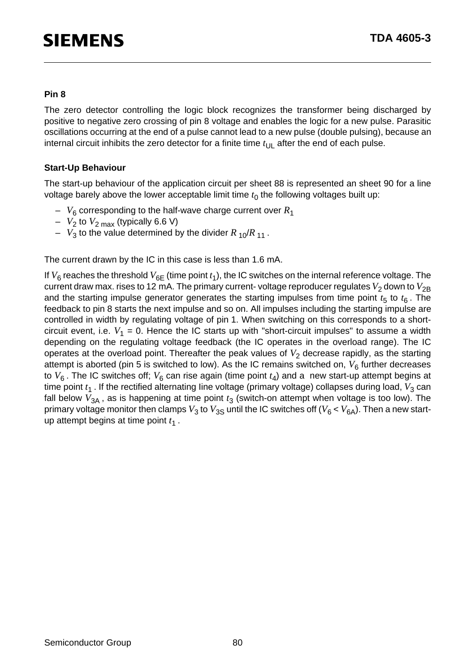#### **Pin 8**

The zero detector controlling the logic block recognizes the transformer being discharged by positive to negative zero crossing of pin 8 voltage and enables the logic for a new pulse. Parasitic oscillations occurring at the end of a pulse cannot lead to a new pulse (double pulsing), because an internal circuit inhibits the zero detector for a finite time  $t_{\text{UL}}$  after the end of each pulse.

#### **Start-Up Behaviour**

The start-up behaviour of the application circuit per sheet 88 is represented an sheet 90 for a line voltage barely above the lower acceptable limit time  $t_0$  the following voltages built up:

- $V_6$  corresponding to the half-wave charge current over  $R_1$
- $-V_2$  to  $V_2$ <sub>max</sub> (typically 6.6 V)
- $V_3$  to the value determined by the divider  $R_{10}/R_{11}$ .

The current drawn by the IC in this case is less than 1.6 mA.

If  $V_6$  reaches the threshold  $V_{6F}$  (time point  $t_1$ ), the IC switches on the internal reference voltage. The current draw max. rises to 12 mA. The primary current- voltage reproducer regulates  $V_2$  down to  $V_{2B}$ and the starting impulse generator generates the starting impulses from time point  $t_5$  to  $t_6$ . The feedback to pin 8 starts the next impulse and so on. All impulses including the starting impulse are controlled in width by regulating voltage of pin 1. When switching on this corresponds to a shortcircuit event, i.e.  $V_1 = 0$ . Hence the IC starts up with "short-circuit impulses" to assume a width depending on the regulating voltage feedback (the IC operates in the overload range). The IC operates at the overload point. Thereafter the peak values of  $V_2$  decrease rapidly, as the starting attempt is aborted (pin 5 is switched to low). As the IC remains switched on,  $V_6$  further decreases to  $V_6$ . The IC switches off;  $V_6$  can rise again (time point  $t_4$ ) and a new start-up attempt begins at time point  $t_1$ . If the rectified alternating line voltage (primary voltage) collapses during load, V<sub>3</sub> can fall below  $V_{3A}$ , as is happening at time point  $t_3$  (switch-on attempt when voltage is too low). The primary voltage monitor then clamps  $V_3$  to  $V_{3S}$  until the IC switches off ( $V_6 < V_{6A}$ ). Then a new startup attempt begins at time point  $t_1$ .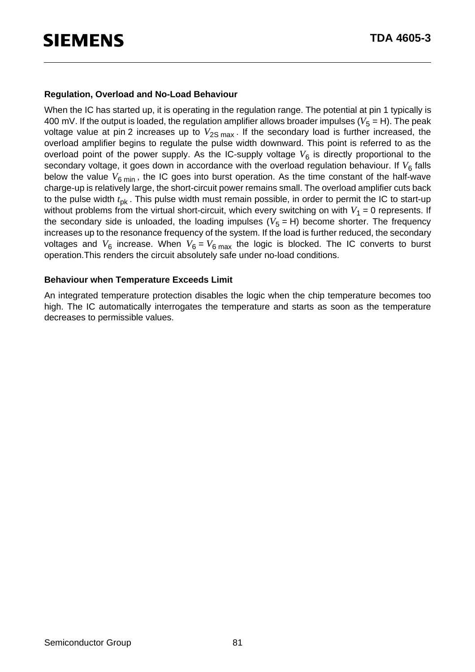#### **Regulation, Overload and No-Load Behaviour**

When the IC has started up, it is operating in the regulation range. The potential at pin 1 typically is 400 mV. If the output is loaded, the regulation amplifier allows broader impulses ( $V_5 = H$ ). The peak voltage value at pin 2 increases up to  $V_{2S \text{ max}}$ . If the secondary load is further increased, the overload amplifier begins to regulate the pulse width downward. This point is referred to as the overload point of the power supply. As the IC-supply voltage  $V_6$  is directly proportional to the secondary voltage, it goes down in accordance with the overload regulation behaviour. If  $V_6$  falls below the value  $V_{6 \text{ min}}$ , the IC goes into burst operation. As the time constant of the half-wave charge-up is relatively large, the short-circuit power remains small. The overload amplifier cuts back to the pulse width  $t_{nk}$ . This pulse width must remain possible, in order to permit the IC to start-up without problems from the virtual short-circuit, which every switching on with  $V_1 = 0$  represents. If the secondary side is unloaded, the loading impulses  $(V<sub>5</sub> = H)$  become shorter. The frequency increases up to the resonance frequency of the system. If the load is further reduced, the secondary voltages and  $V_6$  increase. When  $V_6 = V_6$  max the logic is blocked. The IC converts to burst operation.This renders the circuit absolutely safe under no-load conditions.

#### **Behaviour when Temperature Exceeds Limit**

An integrated temperature protection disables the logic when the chip temperature becomes too high. The IC automatically interrogates the temperature and starts as soon as the temperature decreases to permissible values.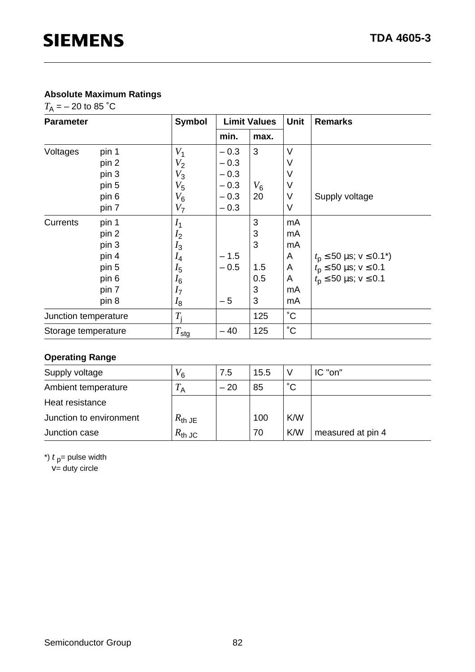### **Absolute Maximum Ratings**

 $T_A = -20$  to 85 °C

| <b>Parameter</b>     |       | <b>Symbol</b>    |        | <b>Limit Values</b> | <b>Unit</b> | <b>Remarks</b>                         |
|----------------------|-------|------------------|--------|---------------------|-------------|----------------------------------------|
|                      |       |                  | min.   | max.                |             |                                        |
| Voltages             | pin 1 | $V_1$            | $-0.3$ | 3                   | V           |                                        |
|                      | pin 2 | $V_2$            | $-0.3$ |                     | ٧           |                                        |
|                      | pin 3 | $V_3$            | $-0.3$ |                     | ٧           |                                        |
|                      | pin 5 | $V_5$            | $-0.3$ | $V_6$               | V           |                                        |
|                      | pin 6 | $V_6$            | $-0.3$ | 20                  | V           | Supply voltage                         |
|                      | pin 7 | V <sub>7</sub>   | $-0.3$ |                     | $\vee$      |                                        |
| Currents             | pin 1 | $I_1$            |        | 3                   | mA          |                                        |
|                      | pin 2 | I <sub>2</sub>   |        | 3                   | mA          |                                        |
|                      | pin 3 | $I_3$            |        | 3                   | mA          |                                        |
|                      | pin 4 | $I_4$            | $-1.5$ |                     | A           | $t_{\rm p} \le 50$ µs; $v \le 0.1^*$ ) |
|                      | pin 5 | $I_5$            | $-0.5$ | 1.5                 | A           | $t_{\rm p} \le 50$ µs; $v \le 0.1$     |
|                      | pin 6 | $I_6$            |        | 0.5                 | A           | $t_{\rm p} \le 50$ µs; $v \le 0.1$     |
|                      | pin 7 | I <sub>7</sub>   |        | 3                   | mA          |                                        |
|                      | pin 8 | $I_8$            | $-5$   | 3                   | mA          |                                        |
| Junction temperature |       | $T_{\rm i}$      |        | 125                 | $^{\circ}C$ |                                        |
| Storage temperature  |       | $T_{\text{stg}}$ | $-40$  | 125                 | $^{\circ}C$ |                                        |

### **Operating Range**

| Supply voltage          | $V_6$              | 7.5   | 15.5 |              | IC "on"           |
|-------------------------|--------------------|-------|------|--------------|-------------------|
| Ambient temperature     | $T_{\sf A}$        | $-20$ | 85   | $^{\circ}$ C |                   |
| Heat resistance         |                    |       |      |              |                   |
| Junction to environment | $R_{\text{th}}$ JE |       | 100  | K/W          |                   |
| Junction case           | $R_{\text{th JC}}$ |       | 70   | K/W          | measured at pin 4 |

\*)  $t<sub>p</sub>$  = pulse width

 $V =$  duty circle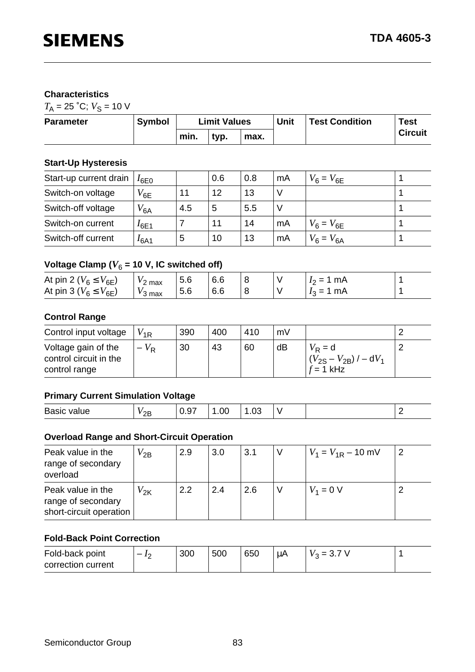#### **Characteristics**

 $T_A = 25$  °C;  $V_S = 10$  V

| <b>Parameter</b> | <b>Symbol</b> | <b>Limit Values</b>  |  |  | Unit | <b>Test Condition</b> | <b>Test</b> |
|------------------|---------------|----------------------|--|--|------|-----------------------|-------------|
|                  |               | min.<br>typ.<br>max. |  |  |      | <b>Circuit</b>        |             |

#### **Start-Up Hysteresis**

| Start-up current drain | $I_{6E}$  |     | 0.6 | 0.8 | mA | $V_6 = V_{6E}$ |  |
|------------------------|-----------|-----|-----|-----|----|----------------|--|
| Switch-on voltage      | $V_{6E}$  |     | 12  | 13  |    |                |  |
| Switch-off voltage     | $V_{6A}$  | 4.5 | 5   | 5.5 |    |                |  |
| Switch-on current      | I6E1      |     |     | 14  | mA | $V_6 = V_{6E}$ |  |
| Switch-off current     | $I_{6A1}$ | .5  | 10  | 13  | mA | $V_6 = V_{6A}$ |  |

# Voltage Clamp ( $V_6$  = 10 V, IC switched off)

| At pin 2 ( $V_6 \leq V_{6E}$ )<br>2 max<br>At pin 3 ( $V_6 \le V_{6E}$ )<br>$V_3$ max | 5.6<br>5.6 | 6.6<br>6.6 |  |  | mA<br>$I_2 = T$<br>mA<br>$I_2 = 1$ |  |
|---------------------------------------------------------------------------------------|------------|------------|--|--|------------------------------------|--|
|---------------------------------------------------------------------------------------|------------|------------|--|--|------------------------------------|--|

#### **Control Range**

| Control input voltage                                          | $V_{\rm 1R}$ | 390 | 400 | 410 | mV |                                                                           |  |
|----------------------------------------------------------------|--------------|-----|-----|-----|----|---------------------------------------------------------------------------|--|
| Voltage gain of the<br>control circuit in the<br>control range | $-V_{\rm R}$ | 30  | 43  | 60  | dB | $V_{\rm R}$ = d<br>$(V_{2S} - V_{2B})$ / – dV <sub>1</sub><br>$f = 1$ kHz |  |

#### **Primary Current Simulation Voltage**

| Bas<br>$\mathbf{u}$<br>____ | $\sim$<br><u>_ _</u> | --<br>___ | __ |  | . . |
|-----------------------------|----------------------|-----------|----|--|-----|

#### **Overload Range and Short-Circuit Operation**

| Peak value in the<br>range of secondary<br>overload                | $V_{2B}$           | 2.9 | 3.0 | 3.1 | $V_1 = V_{1R} - 10$ mV |  |
|--------------------------------------------------------------------|--------------------|-----|-----|-----|------------------------|--|
| Peak value in the<br>range of secondary<br>short-circuit operation | $V_{2{\mathsf K}}$ | 2.2 | 2.4 | 2.6 | $V_1 = 0 V$            |  |

#### **Fold-Back Point Correction**

| Fold-back point    | 300 | 500 | 650 | μA | ా = ఎ…<br>v o |  |
|--------------------|-----|-----|-----|----|---------------|--|
| correction current |     |     |     |    |               |  |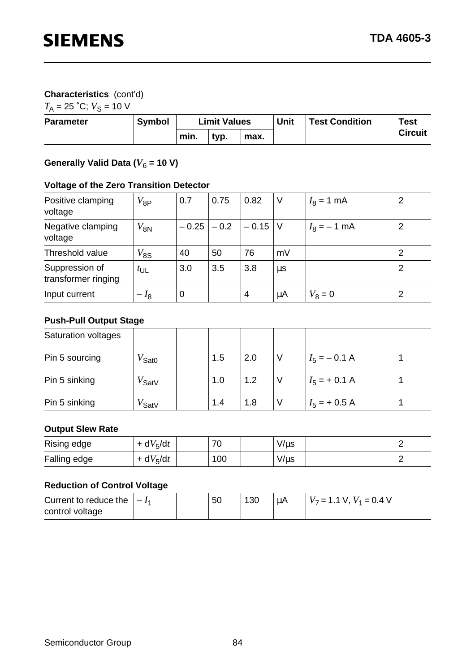### **Characteristics** (cont'd)

 $T_A = 25$  °C;  $V_S = 10$  V

| <b>Parameter</b> | <b>Symbol</b> | <b>Limit Values</b>  |  |  | <b>Unit</b> | <b>Test Condition</b> | <b>Test</b> |
|------------------|---------------|----------------------|--|--|-------------|-----------------------|-------------|
|                  |               | min.<br>tvp.<br>max. |  |  |             | <b>Circuit</b>        |             |

# Generally Valid Data ( $V_6$  = 10 V)

### **Voltage of the Zero Transition Detector**

| Positive clamping<br>voltage          | $V_{8P}$        | 0.7              | 0.75   | 0.82    | $\vee$  | $I_8 = 1$ mA  | 2 |
|---------------------------------------|-----------------|------------------|--------|---------|---------|---------------|---|
| Negative clamping<br>voltage          | $V_{\sf 8N}$    | $-0.25$          | $-0.2$ | $-0.15$ | -V      | $I_8 = -1$ mA | 2 |
| Threshold value                       | $V_{\rm 8S}$    | 40               | 50     | 76      | mV      |               | 2 |
| Suppression of<br>transformer ringing | $t_{\text{UL}}$ | 3.0              | 3.5    | 3.8     | $\mu$ s |               | 2 |
| Input current                         | $-I_8$          | $\boldsymbol{0}$ |        | 4       | μA      | $V_8 = 0$     | 2 |

#### **Push-Pull Output Stage**

| Saturation voltages |                     |     |     |   |                 |  |
|---------------------|---------------------|-----|-----|---|-----------------|--|
| Pin 5 sourcing      | $V_{\mathsf{Sat0}}$ | 1.5 | 2.0 | V | $I_5 = -0.1 A$  |  |
| Pin 5 sinking       | $V_{\mathsf{SatV}}$ | 1.0 | 1.2 |   | $I_5$ = + 0.1 A |  |
| Pin 5 sinking       | $V_{\mathsf{SatV}}$ | 1.4 | 1.8 |   | $I_5$ = + 0.5 A |  |

#### **Output Slew Rate**

| Rising edge  | + $dV5/dt$ | 70  | V/µs      |  |
|--------------|------------|-----|-----------|--|
| Falling edge | + $dV5/dt$ | 100 | $V/\mu s$ |  |

#### **Reduction of Control Voltage**

| Current to reduce the $ -I_1 $ |  | 50 | μA | $V_7 = 1.1$ V, $V_1 = 0.4$ V |  |
|--------------------------------|--|----|----|------------------------------|--|
| control voltage                |  |    |    |                              |  |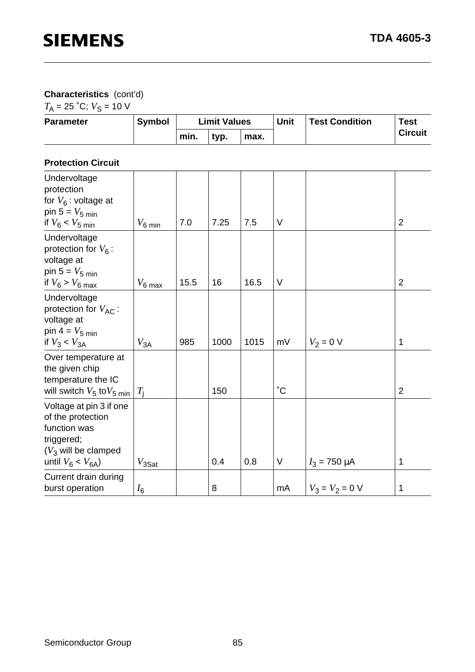# **Characteristics** (cont'd)

 $T_A = 25$  °C;  $V_S = 10$  V

| <b>Parameter</b> | <b>Symbol</b> | <b>Limit Values</b>  | Unit | <b>Test Condition</b> | <b>Test</b> |  |                |
|------------------|---------------|----------------------|------|-----------------------|-------------|--|----------------|
|                  |               | min.<br>tvp.<br>max. |      |                       |             |  | <b>Circuit</b> |

#### **Protection Circuit**

| Undervoltage<br>protection<br>for $V_6$ : voltage at<br>pin $5 = V_{5 min}$<br>if $V_6 < V_5$ min                              | $V_{\rm 6\,min}$  | 7.0  | 7.25 | 7.5  | $\vee$            |                   | $\overline{2}$ |
|--------------------------------------------------------------------------------------------------------------------------------|-------------------|------|------|------|-------------------|-------------------|----------------|
| Undervoltage<br>protection for $V_6$ :<br>voltage at<br>pin $5 = V_{5 min}$<br>if $V_6 > V_{6 max}$                            | $V_6$ max         | 15.5 | 16   | 16.5 | V                 |                   | $\overline{2}$ |
| Undervoltage<br>protection for $V_{AC}$ :<br>voltage at<br>pin $4 = V_5$ min<br>if $V_3 < V_{3A}$                              | $V_{3A}$          | 985  | 1000 | 1015 | mV                | $V_2 = 0 V$       | 1              |
| Over temperature at<br>the given chip<br>temperature the IC<br>will switch $V_5$ to $V_5$ min                                  | $T_{\rm i}$       |      | 150  |      | $^\circ \text{C}$ |                   | $\overline{2}$ |
| Voltage at pin 3 if one<br>of the protection<br>function was<br>triggered;<br>$(V_3$ will be clamped<br>until $V_6 < V_{6A}$ ) | $V_{3\text{Sat}}$ |      | 0.4  | 0.8  | V                 | $I_3 = 750 \mu A$ | 1              |
| Current drain during<br>burst operation                                                                                        | $I_6$             |      | 8    |      | mA                | $V_3 = V_2 = 0$ V | 1              |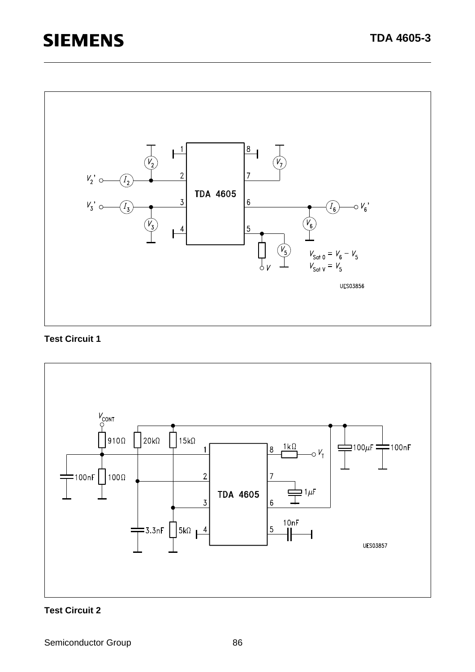

#### **Test Circuit 1**



#### **Test Circuit 2**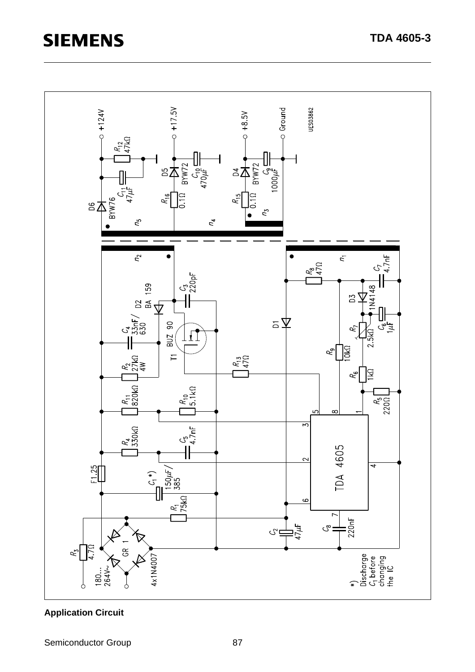

# **Application Circuit**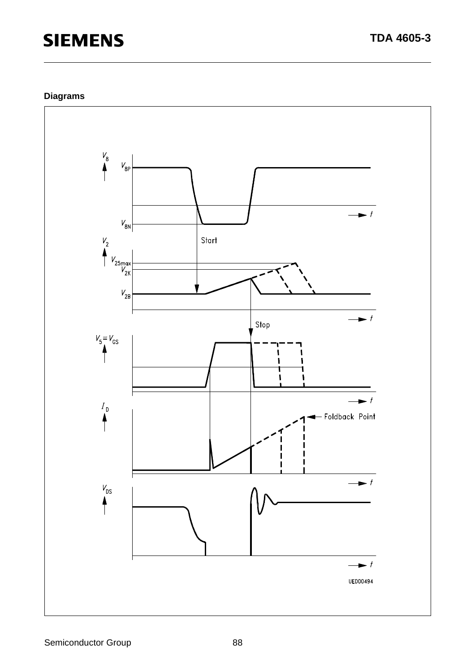# **Diagrams**

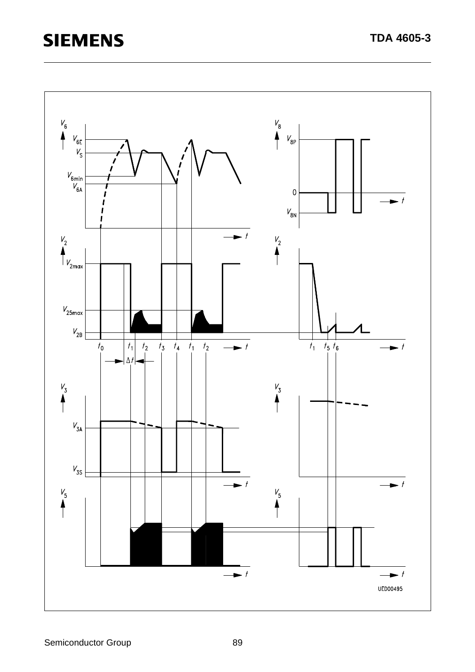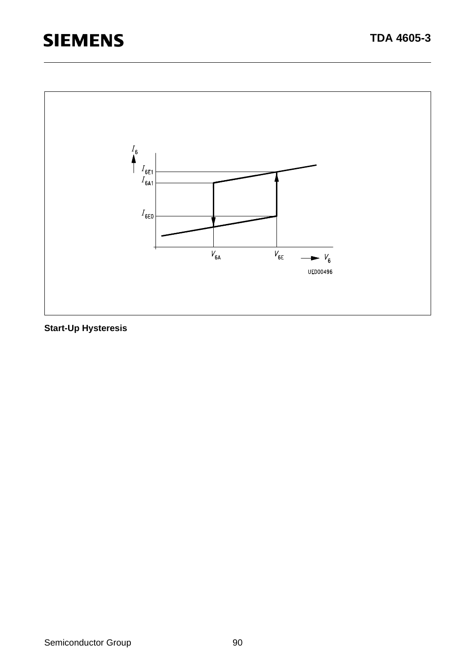

**Start-Up Hysteresis**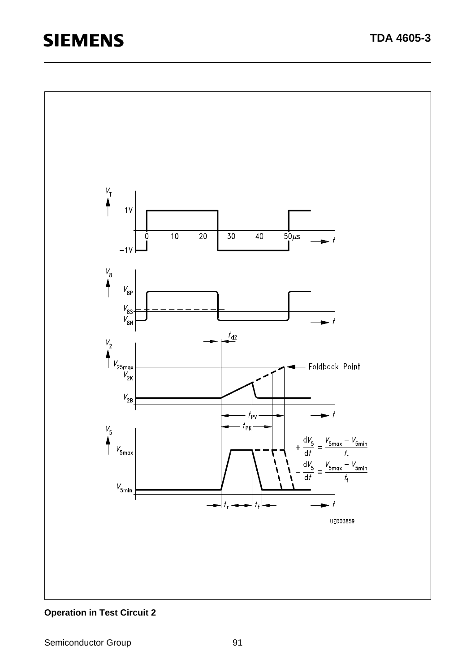

### **Operation in Test Circuit 2**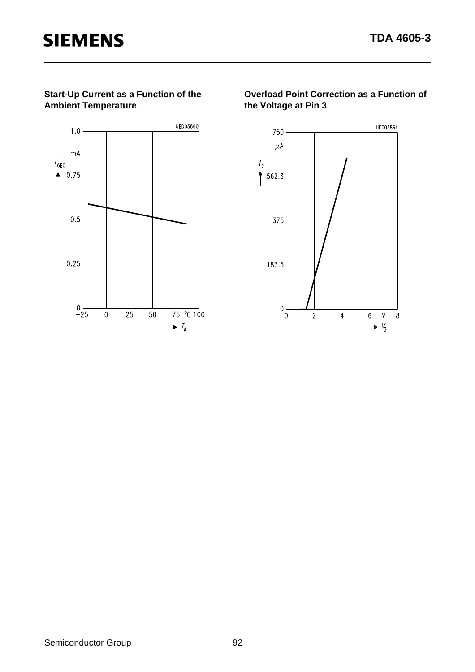#### **Start-Up Current as a Function of the Ambient Temperature**



**Overload Point Correction as a Function of the Voltage at Pin 3**